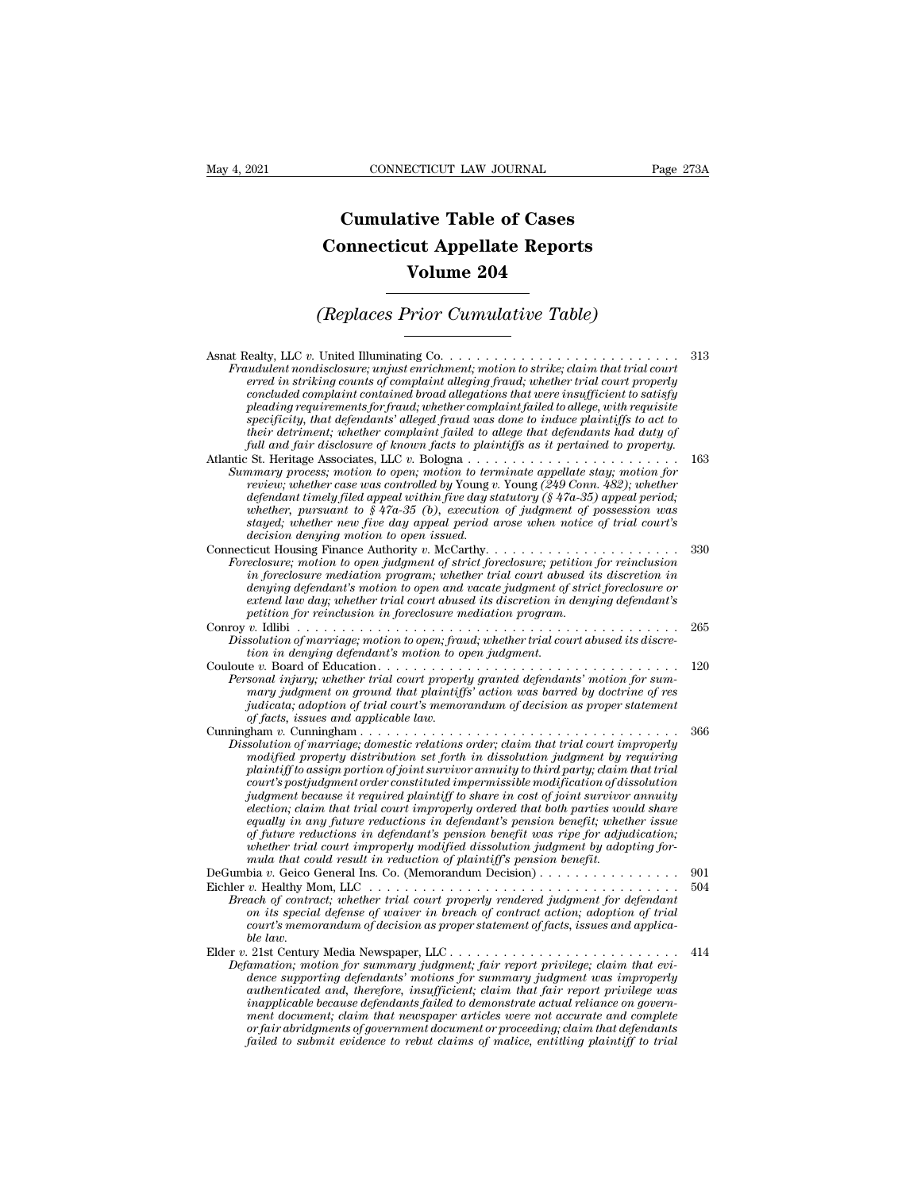## **CONNECTICUT LAW JOURNAL**<br> **Cumulative Table of Cases<br>
pnnecticut Appellate Reports CONNECTICUT LAW JOURNAL** Pag<br> **Cumulative Table of Cases**<br> **Connecticut Appellate Reports<br>
Volume 204 ECTICUT LAW JOURNAL**<br> **Volume 204**<br> **Volume 204**<br> **Volume 204**<br> **Prior Cumulative Table) Cumulative Table of Cases<br>
Connecticut Appellate Reports<br>
Volume 204<br>
(Replaces Prior Cumulative Table)**<br>
United Illuminating Co

| Volume 204                                                                                                                                                                                                                                                                                                                                                                                                                                                                                                                                                                                                                                                                                                                                                                                                                                                |            |  |
|-----------------------------------------------------------------------------------------------------------------------------------------------------------------------------------------------------------------------------------------------------------------------------------------------------------------------------------------------------------------------------------------------------------------------------------------------------------------------------------------------------------------------------------------------------------------------------------------------------------------------------------------------------------------------------------------------------------------------------------------------------------------------------------------------------------------------------------------------------------|------------|--|
| <i>(Replaces Prior Cumulative Table)</i>                                                                                                                                                                                                                                                                                                                                                                                                                                                                                                                                                                                                                                                                                                                                                                                                                  |            |  |
| Fraudulent nondisclosure; unjust enrichment; motion to strike; claim that trial court<br>erred in striking counts of complaint alleging fraud; whether trial court properly<br>concluded complaint contained broad allegations that were insufficient to satisfy<br>pleading requirements for fraud; whether complaint failed to allege, with requisite<br>specificity, that defendants' alleged fraud was done to induce plaintiffs to act to<br>their detriment; whether complaint failed to allege that defendants had duty of<br>full and fair disclosure of known facts to plaintiffs as it pertained to property.                                                                                                                                                                                                                                   | 313        |  |
| Summary process; motion to open; motion to terminate appellate stay; motion for<br>review; whether case was controlled by Young v. Young (249 Conn. 482); whether<br>defendant timely filed appeal within five day statutory ( $\S$ 47a-35) appeal period;<br>whether, pursuant to $$47a-35$ (b), execution of judgment of possession was<br>stayed; whether new five day appeal period arose when notice of trial court's<br>decision denying motion to open issued.                                                                                                                                                                                                                                                                                                                                                                                     | 163        |  |
| Connecticut Housing Finance Authority v. McCarthy<br>Foreclosure; motion to open judgment of strict foreclosure; petition for reinclusion<br>in foreclosure mediation program; whether trial court abused its discretion in<br>denying defendant's motion to open and vacate judgment of strict foreclosure or<br>extend law day; whether trial court abused its discretion in denying defendant's<br>petition for reinclusion in foreclosure mediation program.                                                                                                                                                                                                                                                                                                                                                                                          | 330        |  |
| Dissolution of marriage; motion to open; fraud; whether trial court abused its discre-<br>tion in denying defendant's motion to open judgment.                                                                                                                                                                                                                                                                                                                                                                                                                                                                                                                                                                                                                                                                                                            | 265        |  |
| Personal injury; whether trial court properly granted defendants' motion for sum-<br>mary judgment on ground that plaintiffs' action was barred by doctrine of res<br>judicata; adoption of trial court's memorandum of decision as proper statement<br>of facts, issues and applicable law.                                                                                                                                                                                                                                                                                                                                                                                                                                                                                                                                                              | 120        |  |
| Dissolution of marriage; domestic relations order; claim that trial court improperly<br>modified property distribution set forth in dissolution judgment by requiring<br>plaintiff to assign portion of joint survivor annuity to third party; claim that trial<br>court's postjudgment order constituted impermissible modification of dissolution<br>judgment because it required plaintiff to share in cost of joint survivor annuity<br>election; claim that trial court improperly ordered that both parties would share<br>equally in any future reductions in defendant's pension benefit; whether issue<br>of future reductions in defendant's pension benefit was ripe for adjudication;<br>whether trial court improperly modified dissolution judgment by adopting for-<br>mula that could result in reduction of plaintiff's pension benefit. | 366        |  |
| DeGumbia v. Geico General Ins. Co. (Memorandum Decision)<br>Breach of contract; whether trial court properly rendered judgment for defendant<br>on its special defense of waiver in breach of contract action; adoption of trial<br>court's memorandum of decision as proper statement of facts, issues and applica-<br>ble law                                                                                                                                                                                                                                                                                                                                                                                                                                                                                                                           | 901<br>504 |  |
| Elder v. 21st Century Media Newspaper, LLC<br>Defamation; motion for summary judgment; fair report privilege; claim that evi-<br>dence supporting defendants' motions for summary judgment was improperly<br>authenticated and, therefore, insufficient; claim that fair report privilege was<br><i>inapplicable because defendants failed to demonstrate actual reliance on govern-</i><br>ment document; claim that newspaper articles were not accurate and complete<br>or fair abridgments of government document or proceeding; claim that defendants<br>failed to submit evidence to rebut claims of malice, entitling plaintiff to trial                                                                                                                                                                                                           | 414        |  |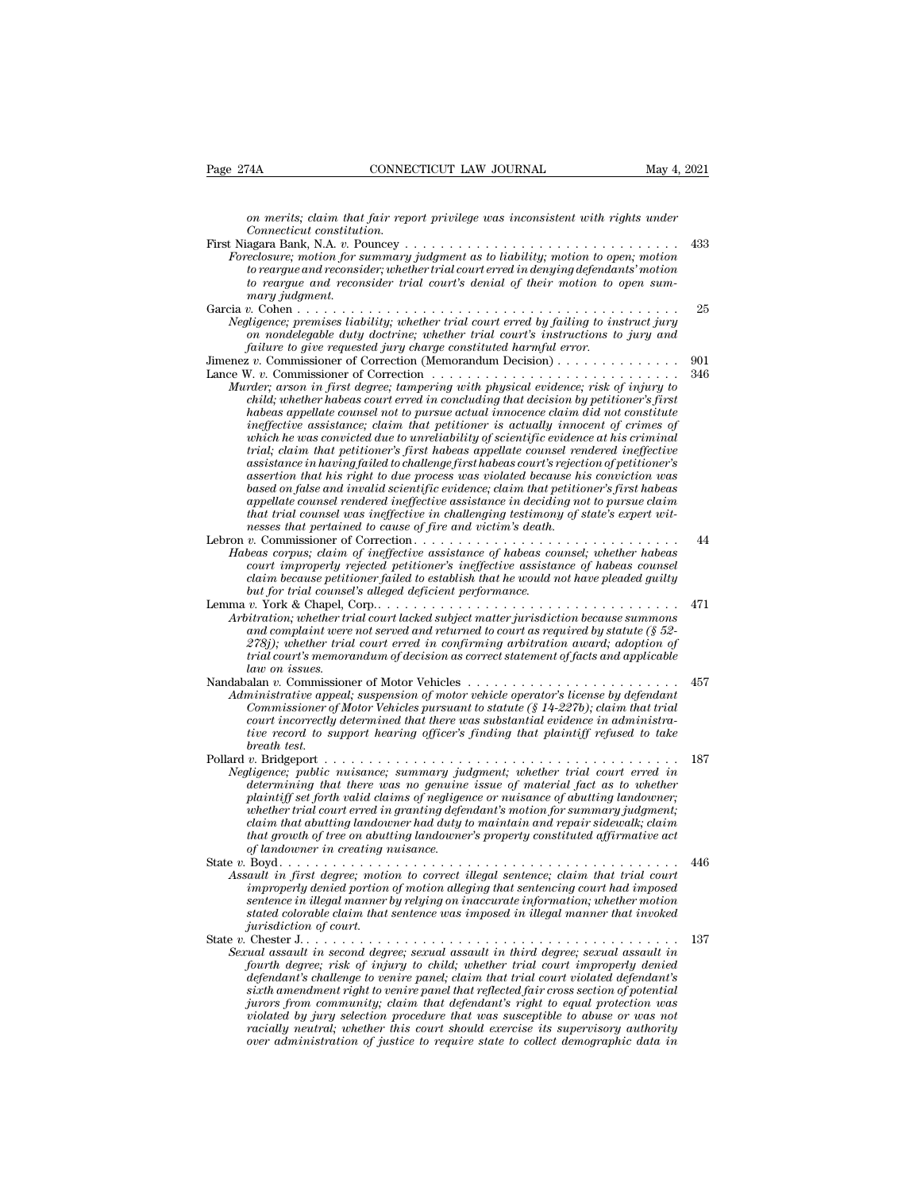*CONNECTICUT LAW JOURNAL* May 4, 2021<br> *on merits; claim that fair report privilege was inconsistent with rights under*<br> *Connecticut constitution.*<br> *orgars Bank NA r. Pouncey CONNEC*<br> *con merits; claim that fair reprometion.*<br> *cagara Bank, N.A. v. Pouncey .*<br> *celosure: motion for summaru* 

| Page 274A                         | CONNECTICUT LAW JOURNAL                                                                                                                                                                                                                                                                                                                                                                                                                                                                                                                                                                                                                                                                                                                                                                                                                                                                                                                                                                                                                                                                                                                                                                                                  | May 4, 2021 |
|-----------------------------------|--------------------------------------------------------------------------------------------------------------------------------------------------------------------------------------------------------------------------------------------------------------------------------------------------------------------------------------------------------------------------------------------------------------------------------------------------------------------------------------------------------------------------------------------------------------------------------------------------------------------------------------------------------------------------------------------------------------------------------------------------------------------------------------------------------------------------------------------------------------------------------------------------------------------------------------------------------------------------------------------------------------------------------------------------------------------------------------------------------------------------------------------------------------------------------------------------------------------------|-------------|
|                                   | on merits; claim that fair report privilege was inconsistent with rights under                                                                                                                                                                                                                                                                                                                                                                                                                                                                                                                                                                                                                                                                                                                                                                                                                                                                                                                                                                                                                                                                                                                                           |             |
|                                   | Connecticut constitution.<br>Foreclosure; motion for summary judgment as to liability; motion to open; motion<br>to reargue and reconsider; whether trial court erred in denying defendants' motion<br>to reargue and reconsider trial court's denial of their motion to open sum-                                                                                                                                                                                                                                                                                                                                                                                                                                                                                                                                                                                                                                                                                                                                                                                                                                                                                                                                       | 433         |
| mary judgment.<br>Garcia v. Cohen | Negligence; premises liability; whether trial court erred by failing to instruct jury<br>on nondelegable duty doctrine; whether trial court's instructions to jury and<br>failure to give requested jury charge constituted harmful error.                                                                                                                                                                                                                                                                                                                                                                                                                                                                                                                                                                                                                                                                                                                                                                                                                                                                                                                                                                               | 25          |
|                                   | Jimenez v. Commissioner of Correction (Memorandum Decision)<br>Lance W. v. Commissioner of Correction $\dots \dots \dots \dots \dots \dots \dots \dots \dots \dots \dots$<br>Murder; arson in first degree; tampering with physical evidence; risk of injury to<br>child; whether habeas court erred in concluding that decision by petitioner's first<br>habeas appellate counsel not to pursue actual innocence claim did not constitute<br>ineffective assistance; claim that petitioner is actually innocent of crimes of<br>which he was convicted due to unreliability of scientific evidence at his criminal<br>trial; claim that petitioner's first habeas appellate counsel rendered ineffective<br>assistance in having failed to challenge first habeas court's rejection of petitioner's<br>assertion that his right to due process was violated because his conviction was<br>based on false and invalid scientific evidence; claim that petitioner's first habeas<br>appellate counsel rendered ineffective assistance in deciding not to pursue claim<br>that trial counsel was ineffective in challenging testimony of state's expert wit-<br>nesses that pertained to cause of fire and victim's death. | 901<br>346  |
|                                   | Habeas corpus; claim of ineffective assistance of habeas counsel; whether habeas<br>court improperly rejected petitioner's ineffective assistance of habeas counsel<br>claim because petitioner failed to establish that he would not have pleaded guilty<br>but for trial counsel's alleged deficient performance.                                                                                                                                                                                                                                                                                                                                                                                                                                                                                                                                                                                                                                                                                                                                                                                                                                                                                                      | 44          |
| law on issues.                    | Arbitration; whether trial court lacked subject matter jurisdiction because summons<br>and complaint were not served and returned to court as required by statute ( $\S 52$ -<br>278j); whether trial court erred in confirming arbitration award; adoption of<br>trial court's memorandum of decision as correct statement of facts and applicable                                                                                                                                                                                                                                                                                                                                                                                                                                                                                                                                                                                                                                                                                                                                                                                                                                                                      | 471         |
| breath test.                      | Nandabalan v. Commissioner of Motor Vehicles $\dots \dots \dots \dots \dots \dots \dots \dots \dots$<br>Administrative appeal; suspension of motor vehicle operator's license by defendant<br>Commissioner of Motor Vehicles pursuant to statute $(\S 14-227b)$ ; claim that trial<br>court incorrectly determined that there was substantial evidence in administra-<br>tive record to support hearing officer's finding that plaintiff refused to take                                                                                                                                                                                                                                                                                                                                                                                                                                                                                                                                                                                                                                                                                                                                                                 | 457         |
|                                   | Negligence; public nuisance; summary judgment; whether trial court erred in<br>determining that there was no genuine issue of material fact as to whether<br>plaintiff set forth valid claims of negligence or nuisance of abutting landowner;<br>whether trial court erred in granting defendant's motion for summary judgment;<br>claim that abutting landowner had duty to maintain and repair sidewalk; claim<br>that growth of tree on abutting landowner's property constituted affirmative act<br>of landowner in creating nuisance.                                                                                                                                                                                                                                                                                                                                                                                                                                                                                                                                                                                                                                                                              | 187         |
|                                   | Assault in first degree; motion to correct illegal sentence; claim that trial court<br>improperly denied portion of motion alleging that sentencing court had imposed<br>sentence in illegal manner by relying on inaccurate information; whether motion<br>stated colorable claim that sentence was imposed in illegal manner that invoked                                                                                                                                                                                                                                                                                                                                                                                                                                                                                                                                                                                                                                                                                                                                                                                                                                                                              | 446         |
|                                   | <i>jurisdiction of court.</i><br>Sexual assault in second degree; sexual assault in third degree; sexual assault in<br>fourth degree; risk of injury to child; whether trial court improperly denied<br>defendant's challenge to venire panel; claim that trial court violated defendant's<br>sixth amendment right to venire panel that reflected fair cross section of potential<br>jurors from community; claim that defendant's right to equal protection was<br>violated by jury selection procedure that was susceptible to abuse or was not<br>racially neutral; whether this court should exercise its supervisory authority<br>over administration of justice to require state to collect demographic data in                                                                                                                                                                                                                                                                                                                                                                                                                                                                                                   | 137         |